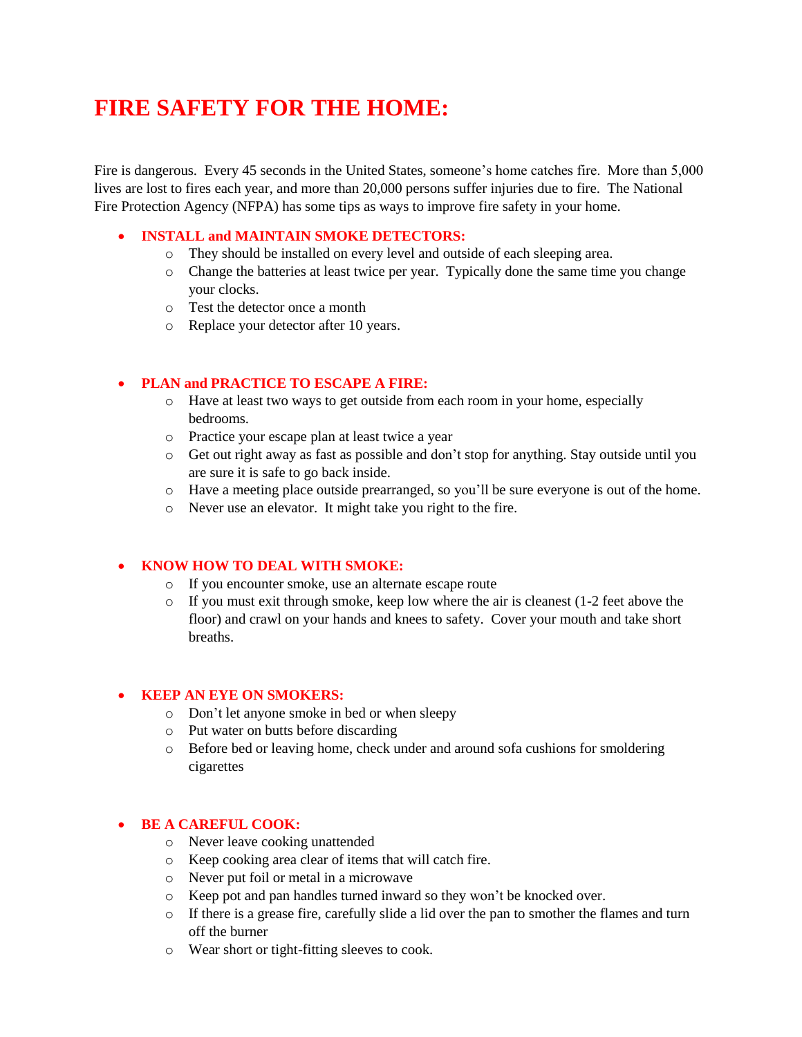# **FIRE SAFETY FOR THE HOME:**

Fire is dangerous. Every 45 seconds in the United States, someone's home catches fire. More than 5,000 lives are lost to fires each year, and more than 20,000 persons suffer injuries due to fire. The National Fire Protection Agency (NFPA) has some tips as ways to improve fire safety in your home.

# **INSTALL and MAINTAIN SMOKE DETECTORS:**

- o They should be installed on every level and outside of each sleeping area.
- o Change the batteries at least twice per year. Typically done the same time you change your clocks.
- o Test the detector once a month
- o Replace your detector after 10 years.

# **PLAN and PRACTICE TO ESCAPE A FIRE:**

- o Have at least two ways to get outside from each room in your home, especially bedrooms.
- o Practice your escape plan at least twice a year
- o Get out right away as fast as possible and don't stop for anything. Stay outside until you are sure it is safe to go back inside.
- o Have a meeting place outside prearranged, so you'll be sure everyone is out of the home.
- o Never use an elevator. It might take you right to the fire.

# **KNOW HOW TO DEAL WITH SMOKE:**

- o If you encounter smoke, use an alternate escape route
- $\circ$  If you must exit through smoke, keep low where the air is cleanest (1-2 feet above the floor) and crawl on your hands and knees to safety. Cover your mouth and take short breaths.

# **KEEP AN EYE ON SMOKERS:**

- o Don't let anyone smoke in bed or when sleepy
- o Put water on butts before discarding
- o Before bed or leaving home, check under and around sofa cushions for smoldering cigarettes

# **BE A CAREFUL COOK:**

- o Never leave cooking unattended
- o Keep cooking area clear of items that will catch fire.
- o Never put foil or metal in a microwave
- o Keep pot and pan handles turned inward so they won't be knocked over.
- o If there is a grease fire, carefully slide a lid over the pan to smother the flames and turn off the burner
- o Wear short or tight-fitting sleeves to cook.